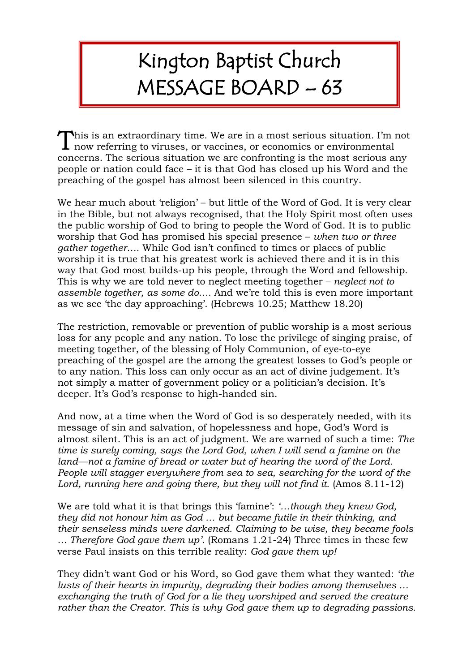## Kington Baptist Church MESSAGE BOARD – 63

his is an extraordinary time. We are in a most serious situation. I'm not This is an extraordinary time. We are in a most serious situation. I'm now referring to viruses, or vaccines, or economics or environmental concerns. The serious situation we are confronting is the most serious any people or nation could face – it is that God has closed up his Word and the preaching of the gospel has almost been silenced in this country.

We hear much about 'religion' – but little of the Word of God. It is very clear in the Bible, but not always recognised, that the Holy Spirit most often uses the public worship of God to bring to people the Word of God. It is to public worship that God has promised his special presence – *when two or three gather together….* While God isn't confined to times or places of public worship it is true that his greatest work is achieved there and it is in this way that God most builds-up his people, through the Word and fellowship. This is why we are told never to neglect meeting together – *neglect not to assemble together, as some do….* And we're told this is even more important as we see 'the day approaching'. (Hebrews 10.25; Matthew 18.20)

The restriction, removable or prevention of public worship is a most serious loss for any people and any nation. To lose the privilege of singing praise, of meeting together, of the blessing of Holy Communion, of eye-to-eye preaching of the gospel are the among the greatest losses to God's people or to any nation. This loss can only occur as an act of divine judgement. It's not simply a matter of government policy or a politician's decision. It's deeper. It's God's response to high-handed sin.

And now, at a time when the Word of God is so desperately needed, with its message of sin and salvation, of hopelessness and hope, God's Word is almost silent. This is an act of judgment. We are warned of such a time: *The time is surely coming, says the Lord God, when I will send a famine on the land––not a famine of bread or water but of hearing the word of the Lord. People will stagger everywhere from sea to sea, searching for the word of the Lord, running here and going there, but they will not find it.* (Amos 8.11-12)

We are told what it is that brings this 'famine': *'…though they knew God, they did not honour him as God … but became futile in their thinking, and their senseless minds were darkened. Claiming to be wise, they became fools … Therefore God gave them up'.* (Romans 1.21-24) Three times in these few verse Paul insists on this terrible reality: *God gave them up!*

They didn't want God or his Word, so God gave them what they wanted: *'the lusts of their hearts in impurity, degrading their bodies among themselves … exchanging the truth of God for a lie they worshiped and served the creature rather than the Creator. This is why God gave them up to degrading passions.*